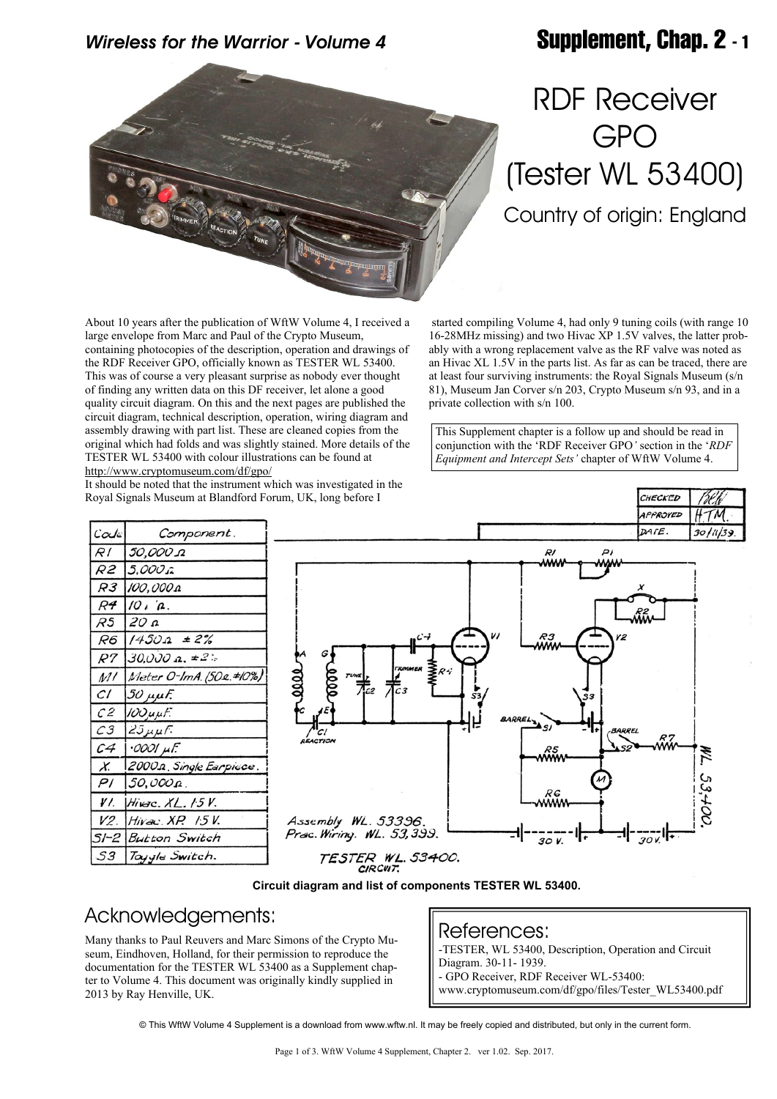### *Wireless for the Warrior - Volume 4* **Supplement, Chap. 2 - 1**



# RDF Receiver GPO (Tester WL 53400) Country of origin: England

 started compiling Volume 4, had only 9 tuning coils (with range 10 16-28MHz missing) and two Hivac XP 1.5V valves, the latter probably with a wrong replacement valve as the RF valve was noted as an Hivac XL 1.5V in the parts list. As far as can be traced, there are at least four surviving instruments: the Royal Signals Museum (s/n 81), Museum Jan Corver s/n 203, Crypto Museum s/n 93, and in a

This Supplement chapter is a follow up and should be read in conjunction with the 'RDF Receiver GPO*'* section in the '*RDF Equipment and Intercept Sets'* chapter of WftW Volume 4.

CHECKED

About 10 years after the publication of WftW Volume 4, I received a large envelope from Marc and Paul of the Crypto Museum, containing photocopies of the description, operation and drawings of the RDF Receiver GPO, officially known as TESTER WL 53400. This was of course a very pleasant surprise as nobody ever thought of finding any written data on this DF receiver, let alone a good quality circuit diagram. On this and the next pages are published the circuit diagram, technical description, operation, wiring diagram and assembly drawing with part list. These are cleaned copies from the original which had folds and was slightly stained. More details of the TESTER WL 53400 with colour illustrations can be found at <http://www.cryptomuseum.com/df/gpo/>

It should be noted that the instrument which was investigated in the Royal Signals Museum at Blandford Forum, UK, long before I

| $\mathcal{C}o\mathcal{A}e$ | Component.              |
|----------------------------|-------------------------|
| R I                        | בג 50,000               |
| R2                         | 5. <i>000 î</i>         |
| R3                         | 100,000 A               |
| R4                         | $10^{17}$ .             |
| R5                         | 120 a                   |
| R6                         | $1450a = 2%$            |
| R7                         | $30,000$ a, $\pm 2$ :   |
| M I                        | Meter O-ImA. (502.#10%) |
| CI.                        | $50 \mu \mu F$          |
| C2                         | 100 uuf.                |
| СЗ                         | $25\mu\mu F$            |
| C4                         | $\cdot$ 0001 $\mu$ F.   |
| X.                         | 2000a Single Earpicce.  |
| PI                         | 150.000 p               |
| ¥I.                        | $Hi$ Karc. $XL.$ $/5V.$ |
| V2.                        | <i>Hivac XP. 15</i> V.  |
| 51-2                       | <b>Button Switch</b>    |
| 53                         | Tayyle Switch.          |



private collection with s/n 100.

**Circuit diagram and list of components TESTER WL 53400.**

### Acknowledgements:

Many thanks to Paul Reuvers and Marc Simons of the Crypto Museum, Eindhoven, Holland, for their permission to reproduce the documentation for the TESTER WL 53400 as a Supplement chapter to Volume 4. This document was originally kindly supplied in 2013 by Ray Henville, UK.

References: -TESTER, WL 53400, Description, Operation and Circuit Diagram. 30-11- 1939. - GPO Receiver, RDF Receiver WL-53400: www.cryptomuseum.com/df/gpo/files/Tester\_WL53400.pdf

© This WftW Volume 4 Supplement is a download from www.wftw.nl. It may be freely copied and distributed, but only in the current form.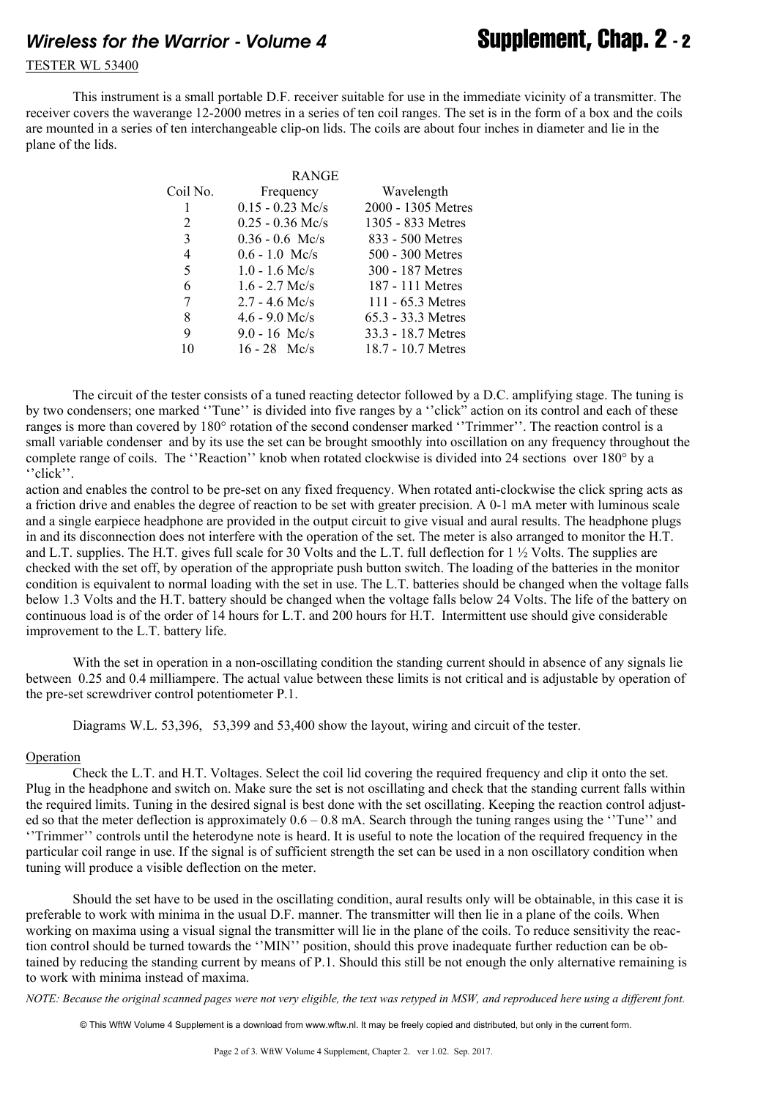## *Wireless for the Warrior - Volume 4* **Supplement, Chap. 2 - 2**

#### TESTER WL 53400

 This instrument is a small portable D.F. receiver suitable for use in the immediate vicinity of a transmitter. The receiver covers the waverange 12-2000 metres in a series of ten coil ranges. The set is in the form of a box and the coils are mounted in a series of ten interchangeable clip-on lids. The coils are about four inches in diameter and lie in the plane of the lids.

|          | <b>RANGE</b>       |                     |
|----------|--------------------|---------------------|
| Coil No. | Frequency          | Wavelength          |
| 1        | $0.15 - 0.23$ Mc/s | 2000 - 1305 Metres  |
| 2        | $0.25 - 0.36$ Mc/s | 1305 - 833 Metres   |
| 3        | $0.36 - 0.6$ Mc/s  | 833 - 500 Metres    |
| 4        | $0.6 - 1.0$ Mc/s   | 500 - 300 Metres    |
| 5        | $1.0 - 1.6$ Mc/s   | 300 - 187 Metres    |
| 6        | $1.6 - 2.7$ Mc/s   | 187 - 111 Metres    |
| 7        | $2.7 - 4.6$ Mc/s   | 111 - $65.3$ Metres |
| 8        | $4.6 - 9.0$ Mc/s   | 65.3 - 33.3 Metres  |
| 9        | $9.0 - 16$ Mc/s    | 33.3 - 18.7 Metres  |
| 10       | $16 - 28$ Mc/s     | 18.7 - 10.7 Metres  |
|          |                    |                     |

The circuit of the tester consists of a tuned reacting detector followed by a D.C. amplifying stage. The tuning is by two condensers; one marked ''Tune'' is divided into five ranges by a ''click" action on its control and each of these ranges is more than covered by 180° rotation of the second condenser marked ''Trimmer''. The reaction control is a small variable condenser and by its use the set can be brought smoothly into oscillation on any frequency throughout the complete range of coils. The ''Reaction'' knob when rotated clockwise is divided into 24 sections over 180° by a ''click''.

action and enables the control to be pre-set on any fixed frequency. When rotated anti-clockwise the click spring acts as a friction drive and enables the degree of reaction to be set with greater precision. A 0-1 mA meter with luminous scale and a single earpiece headphone are provided in the output circuit to give visual and aural results. The headphone plugs in and its disconnection does not interfere with the operation of the set. The meter is also arranged to monitor the H.T. and L.T. supplies. The H.T. gives full scale for 30 Volts and the L.T. full deflection for 1 ½ Volts. The supplies are checked with the set off, by operation of the appropriate push button switch. The loading of the batteries in the monitor condition is equivalent to normal loading with the set in use. The L.T. batteries should be changed when the voltage falls below 1.3 Volts and the H.T. battery should be changed when the voltage falls below 24 Volts. The life of the battery on continuous load is of the order of 14 hours for L.T. and 200 hours for H.T. Intermittent use should give considerable improvement to the L.T. battery life.

With the set in operation in a non-oscillating condition the standing current should in absence of any signals lie between 0.25 and 0.4 milliampere. The actual value between these limits is not critical and is adjustable by operation of the pre-set screwdriver control potentiometer P.1.

Diagrams W.L. 53,396, 53,399 and 53,400 show the layout, wiring and circuit of the tester.

#### Operation

 Check the L.T. and H.T. Voltages. Select the coil lid covering the required frequency and clip it onto the set. Plug in the headphone and switch on. Make sure the set is not oscillating and check that the standing current falls within the required limits. Tuning in the desired signal is best done with the set oscillating. Keeping the reaction control adjusted so that the meter deflection is approximately  $0.6 - 0.8$  mA. Search through the tuning ranges using the "Tune" and ''Trimmer'' controls until the heterodyne note is heard. It is useful to note the location of the required frequency in the particular coil range in use. If the signal is of sufficient strength the set can be used in a non oscillatory condition when tuning will produce a visible deflection on the meter.

 Should the set have to be used in the oscillating condition, aural results only will be obtainable, in this case it is preferable to work with minima in the usual D.F. manner. The transmitter will then lie in a plane of the coils. When working on maxima using a visual signal the transmitter will lie in the plane of the coils. To reduce sensitivity the reaction control should be turned towards the ''MIN'' position, should this prove inadequate further reduction can be obtained by reducing the standing current by means of P.1. Should this still be not enough the only alternative remaining is to work with minima instead of maxima.

*NOTE: Because the original scanned pages were not very eligible, the text was retyped in MSW, and reproduced here using a different font.*

© This WftW Volume 4 Supplement is a download from www.wftw.nl. It may be freely copied and distributed, but only in the current form.